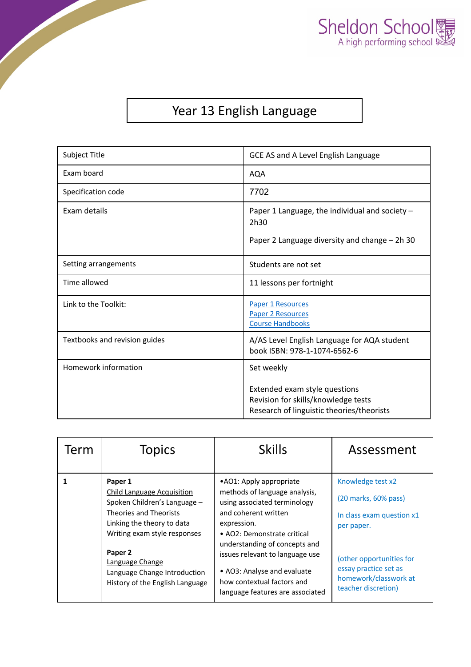

## Year 13 English Language

| Subject Title                 | GCE AS and A Level English Language                                                                                             |  |
|-------------------------------|---------------------------------------------------------------------------------------------------------------------------------|--|
| Exam board                    | <b>AQA</b>                                                                                                                      |  |
| Specification code            | 7702                                                                                                                            |  |
| Exam details                  | Paper 1 Language, the individual and society -<br>2h30<br>Paper 2 Language diversity and change - 2h 30                         |  |
| Setting arrangements          | Students are not set                                                                                                            |  |
| Time allowed                  | 11 lessons per fortnight                                                                                                        |  |
| Link to the Toolkit:          | <b>Paper 1 Resources</b><br><b>Paper 2 Resources</b><br><b>Course Handbooks</b>                                                 |  |
| Textbooks and revision guides | A/AS Level English Language for AQA student<br>book ISBN: 978-1-1074-6562-6                                                     |  |
| Homework information          | Set weekly<br>Extended exam style questions<br>Revision for skills/knowledge tests<br>Research of linguistic theories/theorists |  |

| Term | <b>Topics</b>                                                                                                                                                                                                                                                                | <b>Skills</b>                                                                                                                                                                                                                                                                                                                        | Assessment                                                                                                                                                                                |
|------|------------------------------------------------------------------------------------------------------------------------------------------------------------------------------------------------------------------------------------------------------------------------------|--------------------------------------------------------------------------------------------------------------------------------------------------------------------------------------------------------------------------------------------------------------------------------------------------------------------------------------|-------------------------------------------------------------------------------------------------------------------------------------------------------------------------------------------|
|      | Paper 1<br><b>Child Language Acquisition</b><br>Spoken Children's Language -<br><b>Theories and Theorists</b><br>Linking the theory to data<br>Writing exam style responses<br>Paper 2<br>Language Change<br>Language Change Introduction<br>History of the English Language | • AO1: Apply appropriate<br>methods of language analysis,<br>using associated terminology<br>and coherent written<br>expression.<br>• AO2: Demonstrate critical<br>understanding of concepts and<br>issues relevant to language use<br>• AO3: Analyse and evaluate<br>how contextual factors and<br>language features are associated | Knowledge test x2<br>(20 marks, 60% pass)<br>In class exam question x1<br>per paper.<br>(other opportunities for<br>essay practice set as<br>homework/classwork at<br>teacher discretion) |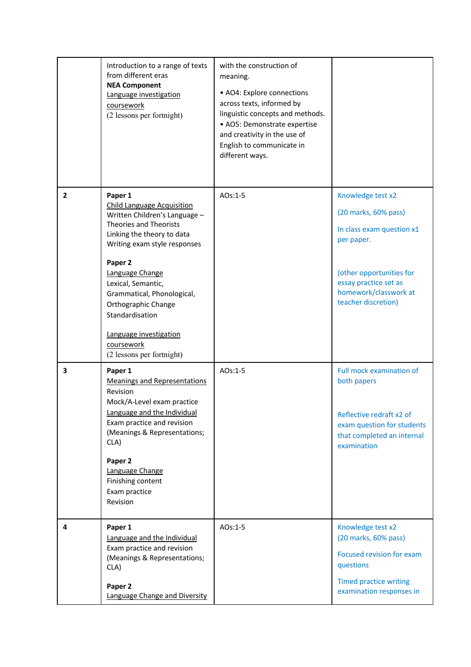|                | Introduction to a range of texts<br>from different eras<br><b>NEA Component</b><br>Language investigation<br>coursework<br>(2 lessons per fortnight)                                                                                                                                                                                             | with the construction of<br>meaning.<br>• AO4: Explore connections<br>across texts, informed by<br>linguistic concepts and methods.<br>• AO5: Demonstrate expertise<br>and creativity in the use of<br>English to communicate in<br>different ways. |                                                                                                                                                                                           |
|----------------|--------------------------------------------------------------------------------------------------------------------------------------------------------------------------------------------------------------------------------------------------------------------------------------------------------------------------------------------------|-----------------------------------------------------------------------------------------------------------------------------------------------------------------------------------------------------------------------------------------------------|-------------------------------------------------------------------------------------------------------------------------------------------------------------------------------------------|
| $\overline{2}$ | Paper 1<br><b>Child Language Acquisition</b><br>Written Children's Language -<br><b>Theories and Theorists</b><br>Linking the theory to data<br>Writing exam style responses<br>Paper 2<br>Language Change<br>Lexical, Semantic,<br>Grammatical, Phonological,<br>Orthographic Change<br>Standardisation<br>Language investigation<br>coursework | AOs:1-5                                                                                                                                                                                                                                             | Knowledge test x2<br>(20 marks, 60% pass)<br>In class exam question x1<br>per paper.<br>(other opportunities for<br>essay practice set as<br>homework/classwork at<br>teacher discretion) |
| 3              | (2 lessons per fortnight)<br>Paper 1<br><b>Meanings and Representations</b><br>Revision<br>Mock/A-Level exam practice<br>Language and the Individual<br>Exam practice and revision<br>(Meanings & Representations;<br>CLA)<br>Paper 2<br>Language Change<br>Finishing content<br>Exam practice<br>Revision                                       | AOs:1-5                                                                                                                                                                                                                                             | Full mock examination of<br>both papers<br>Reflective redraft x2 of<br>exam question for students<br>that completed an internal<br>examination                                            |
| 4              | Paper 1<br>Language and the Individual<br>Exam practice and revision<br>(Meanings & Representations;<br>CLA)<br>Paper 2<br>Language Change and Diversity                                                                                                                                                                                         | AOs:1-5                                                                                                                                                                                                                                             | Knowledge test x2<br>(20 marks, 60% pass)<br>Focused revision for exam<br>questions<br><b>Timed practice writing</b><br>examination responses in                                          |